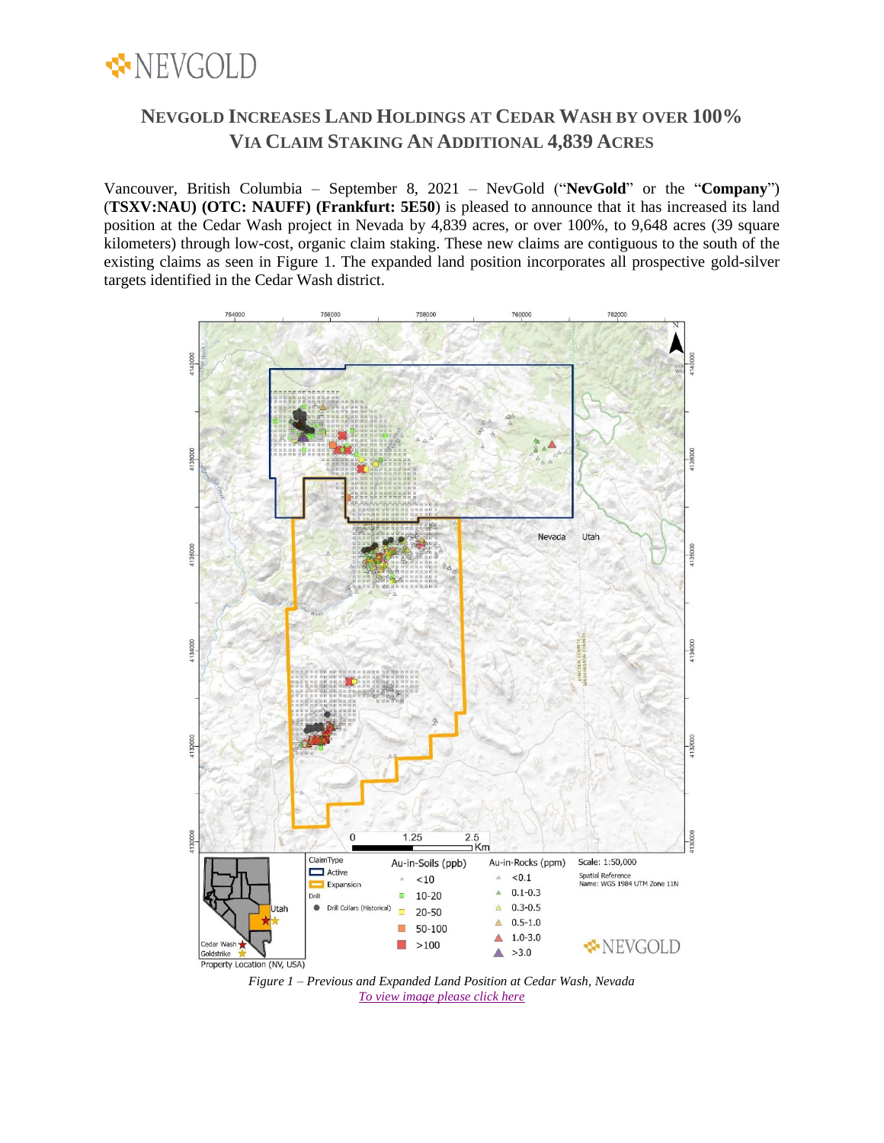

# **NEVGOLD INCREASES LAND HOLDINGS AT CEDAR WASH BY OVER 100% VIA CLAIM STAKING AN ADDITIONAL 4,839 ACRES**

Vancouver, British Columbia – September 8, 2021 – NevGold ("**NevGold**" or the "**Company**") (**TSXV:NAU) (OTC: NAUFF) (Frankfurt: 5E50**) is pleased to announce that it has increased its land position at the Cedar Wash project in Nevada by 4,839 acres, or over 100%, to 9,648 acres (39 square kilometers) through low-cost, organic claim staking. These new claims are contiguous to the south of the existing claims as seen in Figure 1. The expanded land position incorporates all prospective gold-silver targets identified in the Cedar Wash district.



*Figure 1 – Previous and Expanded Land Position at Cedar Wash, Nevada [To view image please click here](https://nev-gold.com/site/assets/files/7071/cw_auinsoils_20210907_v03x2000.jpg)*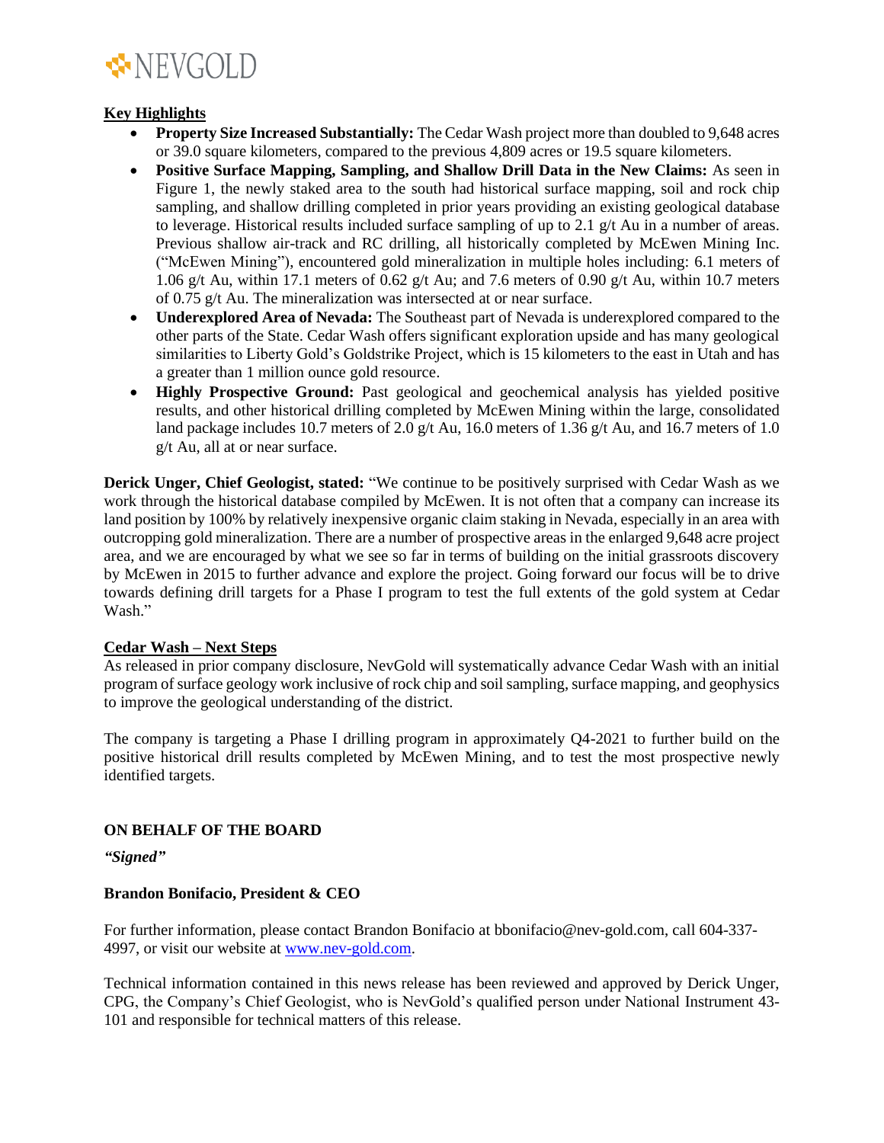

## **Key Highlights**

- **Property Size Increased Substantially:** The Cedar Wash project more than doubled to 9,648 acres or 39.0 square kilometers, compared to the previous 4,809 acres or 19.5 square kilometers.
- **Positive Surface Mapping, Sampling, and Shallow Drill Data in the New Claims:** As seen in Figure 1, the newly staked area to the south had historical surface mapping, soil and rock chip sampling, and shallow drilling completed in prior years providing an existing geological database to leverage. Historical results included surface sampling of up to 2.1 g/t Au in a number of areas. Previous shallow air-track and RC drilling, all historically completed by McEwen Mining Inc. ("McEwen Mining"), encountered gold mineralization in multiple holes including: 6.1 meters of 1.06 g/t Au, within 17.1 meters of 0.62 g/t Au; and 7.6 meters of 0.90 g/t Au, within 10.7 meters of 0.75 g/t Au. The mineralization was intersected at or near surface.
- **Underexplored Area of Nevada:** The Southeast part of Nevada is underexplored compared to the other parts of the State. Cedar Wash offers significant exploration upside and has many geological similarities to Liberty Gold's Goldstrike Project, which is 15 kilometers to the east in Utah and has a greater than 1 million ounce gold resource.
- **Highly Prospective Ground:** Past geological and geochemical analysis has yielded positive results, and other historical drilling completed by McEwen Mining within the large, consolidated land package includes 10.7 meters of 2.0 g/t Au, 16.0 meters of 1.36 g/t Au, and 16.7 meters of 1.0 g/t Au, all at or near surface.

**Derick Unger, Chief Geologist, stated:** "We continue to be positively surprised with Cedar Wash as we work through the historical database compiled by McEwen. It is not often that a company can increase its land position by 100% by relatively inexpensive organic claim staking in Nevada, especially in an area with outcropping gold mineralization. There are a number of prospective areas in the enlarged 9,648 acre project area, and we are encouraged by what we see so far in terms of building on the initial grassroots discovery by McEwen in 2015 to further advance and explore the project. Going forward our focus will be to drive towards defining drill targets for a Phase I program to test the full extents of the gold system at Cedar Wash."

### **Cedar Wash – Next Steps**

As released in prior company disclosure, NevGold will systematically advance Cedar Wash with an initial program of surface geology work inclusive of rock chip and soil sampling, surface mapping, and geophysics to improve the geological understanding of the district.

The company is targeting a Phase I drilling program in approximately Q4-2021 to further build on the positive historical drill results completed by McEwen Mining, and to test the most prospective newly identified targets.

# **ON BEHALF OF THE BOARD**

*"Signed"*

### **Brandon Bonifacio, President & CEO**

For further information, please contact Brandon Bonifacio at bbonifacio@nev-gold.com, call 604-337- 4997, or visit our website at [www.nev-gold.com.](http://www.nev-gold.com/)

Technical information contained in this news release has been reviewed and approved by Derick Unger, CPG, the Company's Chief Geologist, who is NevGold's qualified person under National Instrument 43- 101 and responsible for technical matters of this release.